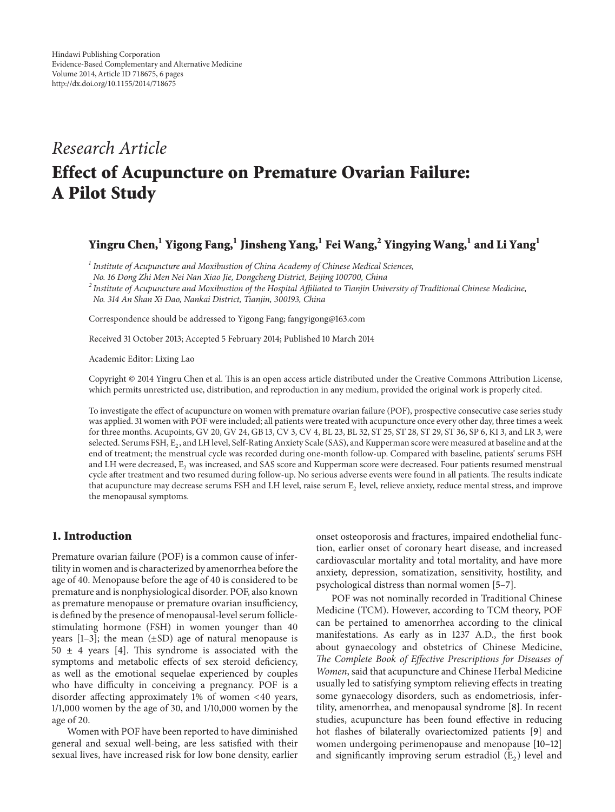## *Research Article*

# **Effect of Acupuncture on Premature Ovarian Failure: A Pilot Study**

## **Yingru Chen,1 Yigong Fang,<sup>1</sup> Jinsheng Yang,1 Fei Wang,2 Yingying Wang,1 and Li Yang<sup>1</sup>**

*<sup>1</sup> Institute of Acupuncture and Moxibustion of China Academy of Chinese Medical Sciences,*

*No. 16 Dong Zhi Men Nei Nan Xiao Jie, Dongcheng District, Beijing 100700, China*

*<sup>2</sup> Institute of Acupuncture and Moxibustion of the Hospital Affiliated to Tianjin University of Traditional Chinese Medicine, No. 314 An Shan Xi Dao, Nankai District, Tianjin, 300193, China*

Correspondence should be addressed to Yigong Fang; fangyigong@163.com

Received 31 October 2013; Accepted 5 February 2014; Published 10 March 2014

Academic Editor: Lixing Lao

Copyright © 2014 Yingru Chen et al. This is an open access article distributed under the Creative Commons Attribution License, which permits unrestricted use, distribution, and reproduction in any medium, provided the original work is properly cited.

To investigate the effect of acupuncture on women with premature ovarian failure (POF), prospective consecutive case series study was applied. 31 women with POF were included; all patients were treated with acupuncture once every other day, three times a week for three months. Acupoints, GV 20, GV 24, GB 13, CV 3, CV 4, BL 23, BL 32, ST 25, ST 28, ST 29, ST 36, SP 6, KI 3, and LR 3, were selected. Serums FSH, E<sub>2</sub>, and LH level, Self-Rating Anxiety Scale (SAS), and Kupperman score were measured at baseline and at the end of treatment; the menstrual cycle was recorded during one-month follow-up. Compared with baseline, patients' serums FSH and LH were decreased,  $E_2$  was increased, and SAS score and Kupperman score were decreased. Four patients resumed menstrual cycle after treatment and two resumed during follow-up. No serious adverse events were found in all patients. The results indicate that acupuncture may decrease serums FSH and LH level, raise serum  $E_2$  level, relieve anxiety, reduce mental stress, and improve the menopausal symptoms.

### **1. Introduction**

Premature ovarian failure (POF) is a common cause of infertility in women and is characterized by amenorrhea before the age of 40. Menopause before the age of 40 is considered to be premature and is nonphysiological disorder. POF, also known as premature menopause or premature ovarian insufficiency, is defined by the presence of menopausal-level serum folliclestimulating hormone (FSH) in women younger than 40 years  $[1-3]$  $[1-3]$ ; the mean  $(\pm SD)$  age of natural menopause is 50  $\pm$  4 years [\[4\]](#page-5-1). This syndrome is associated with the symptoms and metabolic effects of sex steroid deficiency, as well as the emotional sequelae experienced by couples who have difficulty in conceiving a pregnancy. POF is a disorder affecting approximately 1% of women <40 years, 1/1,000 women by the age of 30, and 1/10,000 women by the age of 20.

Women with POF have been reported to have diminished general and sexual well-being, are less satisfied with their sexual lives, have increased risk for low bone density, earlier onset osteoporosis and fractures, impaired endothelial function, earlier onset of coronary heart disease, and increased cardiovascular mortality and total mortality, and have more anxiety, depression, somatization, sensitivity, hostility, and psychological distress than normal women [\[5](#page-5-2)[–7](#page-5-3)].

POF was not nominally recorded in Traditional Chinese Medicine (TCM). However, according to TCM theory, POF can be pertained to amenorrhea according to the clinical manifestations. As early as in 1237 A.D., the first book about gynaecology and obstetrics of Chinese Medicine, *The Complete Book of Effective Prescriptions for Diseases of Women*, said that acupuncture and Chinese Herbal Medicine usually led to satisfying symptom relieving effects in treating some gynaecology disorders, such as endometriosis, infertility, amenorrhea, and menopausal syndrome [\[8](#page-5-4)]. In recent studies, acupuncture has been found effective in reducing hot flashes of bilaterally ovariectomized patients [\[9\]](#page-5-5) and women undergoing perimenopause and menopause [\[10](#page-5-6)[–12](#page-5-7)] and significantly improving serum estradiol  $(E_2)$  level and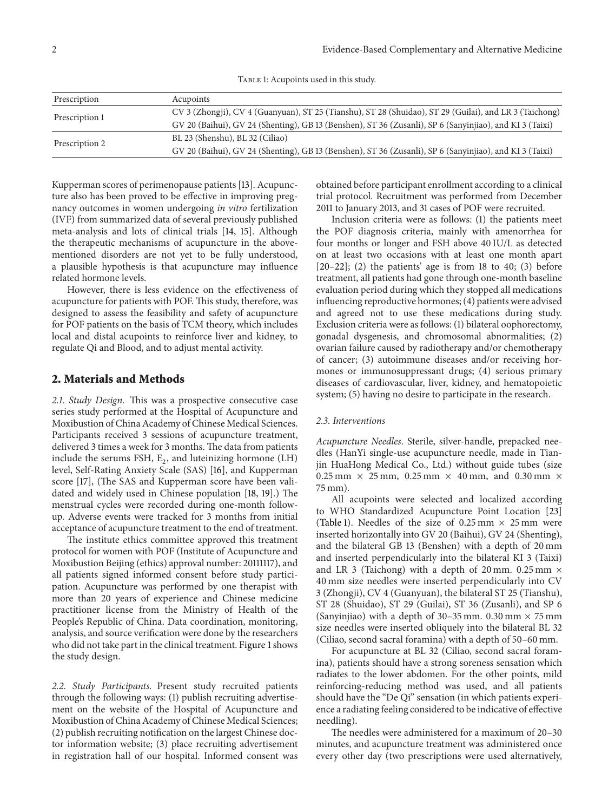<span id="page-1-0"></span>TABLE 1: Acupoints used in this study.

| Prescription   | Acupoints                                                                                               |
|----------------|---------------------------------------------------------------------------------------------------------|
| Prescription 1 | CV 3 (Zhongji), CV 4 (Guanyuan), ST 25 (Tianshu), ST 28 (Shuidao), ST 29 (Guilai), and LR 3 (Taichong)  |
|                | GV 20 (Baihui), GV 24 (Shenting), GB 13 (Benshen), ST 36 (Zusanli), SP 6 (Sanyinjiao), and KI 3 (Taixi) |
| Prescription 2 | BL 23 (Shenshu), BL 32 (Ciliao)                                                                         |
|                | GV 20 (Baihui), GV 24 (Shenting), GB 13 (Benshen), ST 36 (Zusanli), SP 6 (Sanyinjiao), and KI 3 (Taixi) |
|                |                                                                                                         |

Kupperman scores of perimenopause patients [\[13\]](#page-5-8). Acupuncture also has been proved to be effective in improving pregnancy outcomes in women undergoing *in vitro* fertilization (IVF) from summarized data of several previously published meta-analysis and lots of clinical trials [\[14](#page-5-9), [15\]](#page-5-10). Although the therapeutic mechanisms of acupuncture in the abovementioned disorders are not yet to be fully understood, a plausible hypothesis is that acupuncture may influence related hormone levels.

However, there is less evidence on the effectiveness of acupuncture for patients with POF. This study, therefore, was designed to assess the feasibility and safety of acupuncture for POF patients on the basis of TCM theory, which includes local and distal acupoints to reinforce liver and kidney, to regulate Qi and Blood, and to adjust mental activity.

#### **2. Materials and Methods**

*2.1. Study Design.* This was a prospective consecutive case series study performed at the Hospital of Acupuncture and Moxibustion of China Academy of Chinese Medical Sciences. Participants received 3 sessions of acupuncture treatment, delivered 3 times a week for 3 months. The data from patients include the serums FSH,  $E_2$ , and luteinizing hormone (LH) level, Self-Rating Anxiety Scale (SAS) [\[16\]](#page-5-11), and Kupperman score [\[17\]](#page-5-12), (The SAS and Kupperman score have been validated and widely used in Chinese population [\[18,](#page-5-13) [19](#page-5-14)].) The menstrual cycles were recorded during one-month followup. Adverse events were tracked for 3 months from initial acceptance of acupuncture treatment to the end of treatment.

The institute ethics committee approved this treatment protocol for women with POF (Institute of Acupuncture and Moxibustion Beijing (ethics) approval number: 20111117), and all patients signed informed consent before study participation. Acupuncture was performed by one therapist with more than 20 years of experience and Chinese medicine practitioner license from the Ministry of Health of the People's Republic of China. Data coordination, monitoring, analysis, and source verification were done by the researchers who did not take part in the clinical treatment. [Figure 1](#page-2-0)shows the study design.

*2.2. Study Participants.* Present study recruited patients through the following ways: (1) publish recruiting advertisement on the website of the Hospital of Acupuncture and Moxibustion of China Academy of Chinese Medical Sciences; (2) publish recruiting notification on the largest Chinese doctor information website; (3) place recruiting advertisement in registration hall of our hospital. Informed consent was

obtained before participant enrollment according to a clinical trial protocol. Recruitment was performed from December 2011 to January 2013, and 31 cases of POF were recruited.

Inclusion criteria were as follows: (1) the patients meet the POF diagnosis criteria, mainly with amenorrhea for four months or longer and FSH above 40 IU/L as detected on at least two occasions with at least one month apart  $[20-22]$  $[20-22]$ ;  $(2)$  the patients' age is from 18 to 40;  $(3)$  before treatment, all patients had gone through one-month baseline evaluation period during which they stopped all medications influencing reproductive hormones; (4) patients were advised and agreed not to use these medications during study. Exclusion criteria were as follows: (1) bilateral oophorectomy, gonadal dysgenesis, and chromosomal abnormalities; (2) ovarian failure caused by radiotherapy and/or chemotherapy of cancer; (3) autoimmune diseases and/or receiving hormones or immunosuppressant drugs; (4) serious primary diseases of cardiovascular, liver, kidney, and hematopoietic system; (5) having no desire to participate in the research.

#### *2.3. Interventions*

*Acupuncture Needles*. Sterile, silver-handle, prepacked needles (HanYi single-use acupuncture needle, made in Tianjin HuaHong Medical Co., Ltd.) without guide tubes (size  $0.25$  mm  $\times$  25 mm,  $0.25$  mm  $\times$  40 mm, and 0.30 mm  $\times$ 75 mm).

All acupoints were selected and localized according to WHO Standardized Acupuncture Point Location [\[23](#page-5-17)] [\(Table 1\)](#page-1-0). Needles of the size of 0.25 mm  $\times$  25 mm were inserted horizontally into GV 20 (Baihui), GV 24 (Shenting), and the bilateral GB 13 (Benshen) with a depth of 20 mm and inserted perpendicularly into the bilateral KI 3 (Taixi) and LR 3 (Taichong) with a depth of 20 mm. 0.25 mm  $\times$ 40 mm size needles were inserted perpendicularly into CV 3 (Zhongji), CV 4 (Guanyuan), the bilateral ST 25 (Tianshu), ST 28 (Shuidao), ST 29 (Guilai), ST 36 (Zusanli), and SP 6 (Sanyinjiao) with a depth of  $30-35$  mm.  $0.30$  mm  $\times$  75 mm size needles were inserted obliquely into the bilateral BL 32 (Ciliao, second sacral foramina) with a depth of 50–60 mm.

For acupuncture at BL 32 (Ciliao, second sacral foramina), patients should have a strong soreness sensation which radiates to the lower abdomen. For the other points, mild reinforcing-reducing method was used, and all patients should have the "De Qi" sensation (in which patients experience a radiating feeling considered to be indicative of effective needling).

The needles were administered for a maximum of 20–30 minutes, and acupuncture treatment was administered once every other day (two prescriptions were used alternatively,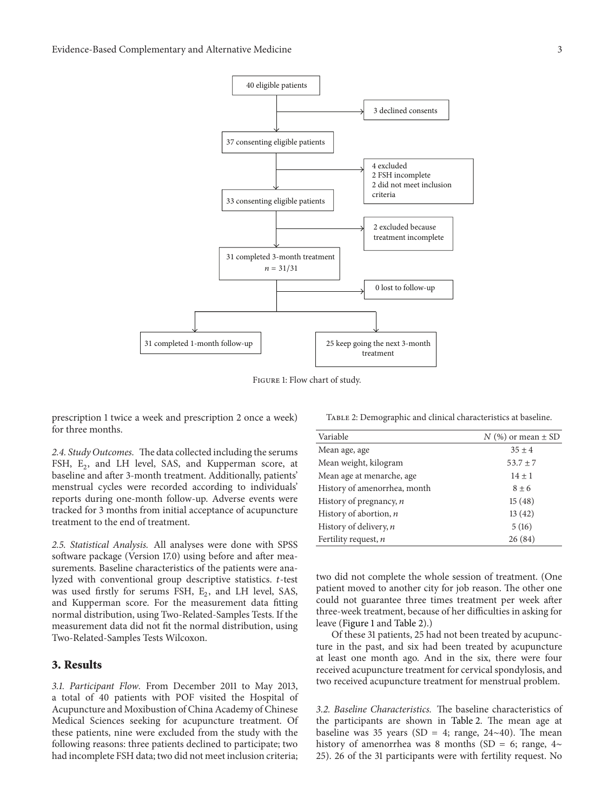

<span id="page-2-0"></span>Figure 1: Flow chart of study.

prescription 1 twice a week and prescription 2 once a week) for three months.

*2.4. Study Outcomes.* The data collected including the serums FSH, E<sub>2</sub>, and LH level, SAS, and Kupperman score, at baseline and after 3-month treatment. Additionally, patients' menstrual cycles were recorded according to individuals' reports during one-month follow-up. Adverse events were tracked for 3 months from initial acceptance of acupuncture treatment to the end of treatment.

*2.5. Statistical Analysis.* All analyses were done with SPSS software package (Version 17.0) using before and after measurements. Baseline characteristics of the patients were analyzed with conventional group descriptive statistics.  $t$ -test was used firstly for serums FSH,  $E_2$ , and LH level, SAS, and Kupperman score. For the measurement data fitting normal distribution, using Two-Related-Samples Tests. If the measurement data did not fit the normal distribution, using Two-Related-Samples Tests Wilcoxon.

#### **3. Results**

*3.1. Participant Flow.* From December 2011 to May 2013, a total of 40 patients with POF visited the Hospital of Acupuncture and Moxibustion of China Academy of Chinese Medical Sciences seeking for acupuncture treatment. Of these patients, nine were excluded from the study with the following reasons: three patients declined to participate; two had incomplete FSH data; two did not meet inclusion criteria;

<span id="page-2-1"></span>Table 2: Demographic and clinical characteristics at baseline.

| Variable                     | $N$ (%) or mean $\pm$ SD |
|------------------------------|--------------------------|
| Mean age, age                | $35 \pm 4$               |
| Mean weight, kilogram        | $53.7 \pm 7$             |
| Mean age at menarche, age    | $14 \pm 1$               |
| History of amenorrhea, month | $8 + 6$                  |
| History of pregnancy, $n$    | 15(48)                   |
| History of abortion, $n$     | 13(42)                   |
| History of delivery, $n$     | 5(16)                    |
| Fertility request, $n$       | 26(84)                   |

two did not complete the whole session of treatment. (One patient moved to another city for job reason. The other one could not guarantee three times treatment per week after three-week treatment, because of her difficulties in asking for leave [\(Figure 1](#page-2-0) and [Table 2\)](#page-2-1).)

Of these 31 patients, 25 had not been treated by acupuncture in the past, and six had been treated by acupuncture at least one month ago. And in the six, there were four received acupuncture treatment for cervical spondylosis, and two received acupuncture treatment for menstrual problem.

*3.2. Baseline Characteristics.* The baseline characteristics of the participants are shown in [Table 2.](#page-2-1) The mean age at baseline was 35 years (SD = 4; range, 24∼40). The mean history of amenorrhea was 8 months (SD = 6; range, 4∼ 25). 26 of the 31 participants were with fertility request. No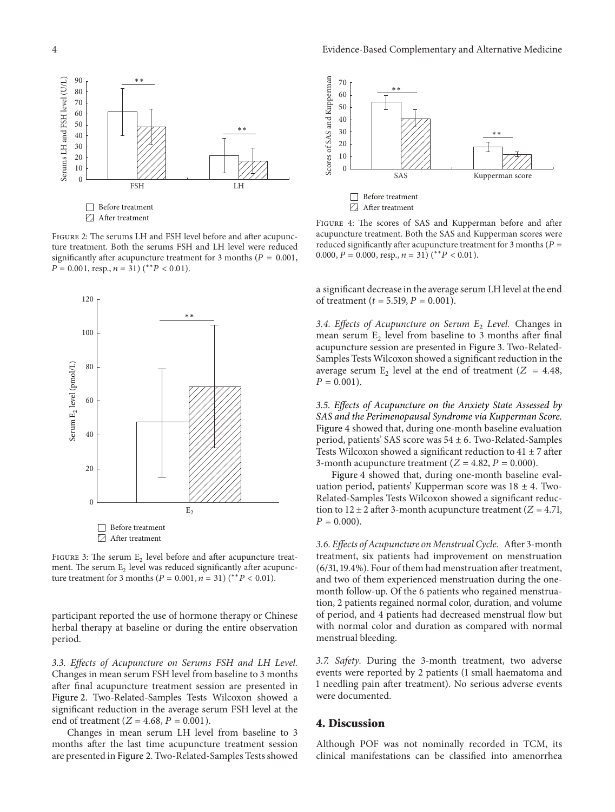

<span id="page-3-0"></span>Figure 2: The serums LH and FSH level before and after acupuncture treatment. Both the serums FSH and LH level were reduced significantly after acupuncture treatment for 3 months ( $P = 0.001$ ,  $P = 0.001$ , resp.,  $n = 31$ ) (\*\* $P < 0.01$ ).



<span id="page-3-1"></span>FIGURE 3: The serum  $E<sub>2</sub>$  level before and after acupuncture treatment. The serum  $E<sub>2</sub>$  level was reduced significantly after acupuncture treatment for 3 months ( $P = 0.001$ ,  $n = 31$ ) (\*\* $P < 0.01$ ).

participant reported the use of hormone therapy or Chinese herbal therapy at baseline or during the entire observation period.

*3.3. Effects of Acupuncture on Serums FSH and LH Level.* Changes in mean serum FSH level from baseline to 3 months after final acupuncture treatment session are presented in [Figure 2.](#page-3-0) Two-Related-Samples Tests Wilcoxon showed a significant reduction in the average serum FSH level at the end of treatment ( $Z = 4.68$ ,  $P = 0.001$ ).

Changes in mean serum LH level from baseline to 3 months after the last time acupuncture treatment session are presented in [Figure 2.](#page-3-0) Two-Related-Samples Tests showed



<span id="page-3-2"></span>Figure 4: The scores of SAS and Kupperman before and after acupuncture treatment. Both the SAS and Kupperman scores were reduced significantly after acupuncture treatment for 3 months ( $P =$ 0.000,  $P = 0.000$ , resp.,  $n = 31$ ) (\*\* $P < 0.01$ ).

a significant decrease in the average serum LH level at the end of treatment ( $t = 5.519$ ,  $P = 0.001$ ).

*3.4. Effects of Acupuncture on Serum E*<sup>2</sup> *Level.* Changes in mean serum  $E_2$  level from baseline to 3 months after final acupuncture session are presented in [Figure 3.](#page-3-1) Two-Related-Samples Tests Wilcoxon showed a significant reduction in the average serum  $E_2$  level at the end of treatment ( $Z = 4.48$ ,  $P = 0.001$ .

*3.5. Effects of Acupuncture on the Anxiety State Assessed by SAS and the Perimenopausal Syndrome via Kupperman Score.* [Figure 4](#page-3-2) showed that, during one-month baseline evaluation period, patients' SAS score was 54 ± 6. Two-Related-Samples Tests Wilcoxon showed a significant reduction to  $41 \pm 7$  after 3-month acupuncture treatment  $(Z = 4.82, P = 0.000)$ .

[Figure 4](#page-3-2) showed that, during one-month baseline evaluation period, patients' Kupperman score was  $18 \pm 4$ . Two-Related-Samples Tests Wilcoxon showed a significant reduction to  $12 \pm 2$  after 3-month acupuncture treatment ( $Z = 4.71$ ,  $P = 0.000$ ).

*3.6. Effects of Acupuncture on Menstrual Cycle.* After 3-month treatment, six patients had improvement on menstruation (6/31, 19.4%). Four of them had menstruation after treatment, and two of them experienced menstruation during the onemonth follow-up. Of the 6 patients who regained menstruation, 2 patients regained normal color, duration, and volume of period, and 4 patients had decreased menstrual flow but with normal color and duration as compared with normal menstrual bleeding.

*3.7. Safety.* During the 3-month treatment, two adverse events were reported by 2 patients (1 small haematoma and 1 needling pain after treatment). No serious adverse events were documented.

#### **4. Discussion**

Although POF was not nominally recorded in TCM, its clinical manifestations can be classified into amenorrhea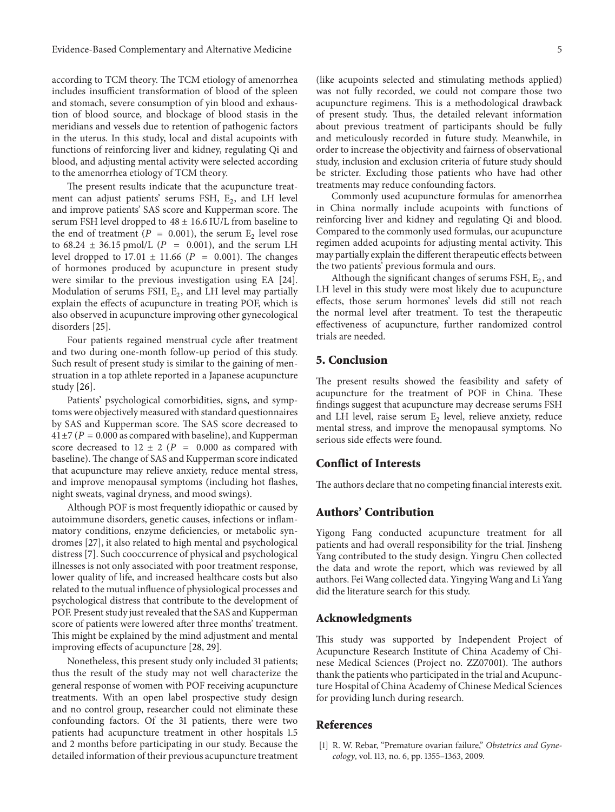according to TCM theory. The TCM etiology of amenorrhea includes insufficient transformation of blood of the spleen and stomach, severe consumption of yin blood and exhaustion of blood source, and blockage of blood stasis in the meridians and vessels due to retention of pathogenic factors in the uterus. In this study, local and distal acupoints with functions of reinforcing liver and kidney, regulating Qi and blood, and adjusting mental activity were selected according to the amenorrhea etiology of TCM theory.

The present results indicate that the acupuncture treatment can adjust patients' serums FSH,  $E<sub>2</sub>$ , and LH level and improve patients' SAS score and Kupperman score. The serum FSH level dropped to  $48 \pm 16.6$  IU/L from baseline to the end of treatment ( $P = 0.001$ ), the serum E<sub>2</sub> level rose to 68.24  $\pm$  36.15 pmol/L (P = 0.001), and the serum LH level dropped to  $17.01 \pm 11.66$  ( $P = 0.001$ ). The changes of hormones produced by acupuncture in present study were similar to the previous investigation using EA [\[24\]](#page-5-18). Modulation of serums FSH,  $E_2$ , and LH level may partially explain the effects of acupuncture in treating POF, which is also observed in acupuncture improving other gynecological disorders [\[25](#page-5-19)].

Four patients regained menstrual cycle after treatment and two during one-month follow-up period of this study. Such result of present study is similar to the gaining of menstruation in a top athlete reported in a Japanese acupuncture study [\[26](#page-5-20)].

Patients' psychological comorbidities, signs, and symptoms were objectively measured with standard questionnaires by SAS and Kupperman score. The SAS score decreased to  $41\pm7$  ( $P = 0.000$  as compared with baseline), and Kupperman score decreased to  $12 \pm 2$  ( $P = 0.000$  as compared with baseline). The change of SAS and Kupperman score indicated that acupuncture may relieve anxiety, reduce mental stress, and improve menopausal symptoms (including hot flashes, night sweats, vaginal dryness, and mood swings).

Although POF is most frequently idiopathic or caused by autoimmune disorders, genetic causes, infections or inflammatory conditions, enzyme deficiencies, or metabolic syndromes [\[27](#page-5-21)], it also related to high mental and psychological distress [\[7](#page-5-3)]. Such cooccurrence of physical and psychological illnesses is not only associated with poor treatment response, lower quality of life, and increased healthcare costs but also related to the mutual influence of physiological processes and psychological distress that contribute to the development of POF. Present study just revealed that the SAS and Kupperman score of patients were lowered after three months' treatment. This might be explained by the mind adjustment and mental improving effects of acupuncture [\[28,](#page-5-22) [29\]](#page-5-23).

Nonetheless, this present study only included 31 patients; thus the result of the study may not well characterize the general response of women with POF receiving acupuncture treatments. With an open label prospective study design and no control group, researcher could not eliminate these confounding factors. Of the 31 patients, there were two patients had acupuncture treatment in other hospitals 1.5 and 2 months before participating in our study. Because the detailed information of their previous acupuncture treatment

(like acupoints selected and stimulating methods applied) was not fully recorded, we could not compare those two acupuncture regimens. This is a methodological drawback of present study. Thus, the detailed relevant information about previous treatment of participants should be fully and meticulously recorded in future study. Meanwhile, in order to increase the objectivity and fairness of observational study, inclusion and exclusion criteria of future study should be stricter. Excluding those patients who have had other treatments may reduce confounding factors.

Commonly used acupuncture formulas for amenorrhea in China normally include acupoints with functions of reinforcing liver and kidney and regulating Qi and blood. Compared to the commonly used formulas, our acupuncture regimen added acupoints for adjusting mental activity. This may partially explain the different therapeutic effects between the two patients' previous formula and ours.

Although the significant changes of serums FSH,  $E_2$ , and LH level in this study were most likely due to acupuncture effects, those serum hormones' levels did still not reach the normal level after treatment. To test the therapeutic effectiveness of acupuncture, further randomized control trials are needed.

#### **5. Conclusion**

The present results showed the feasibility and safety of acupuncture for the treatment of POF in China. These findings suggest that acupuncture may decrease serums FSH and LH level, raise serum  $E_2$  level, relieve anxiety, reduce mental stress, and improve the menopausal symptoms. No serious side effects were found.

#### **Conflict of Interests**

The authors declare that no competing financial interests exit.

#### **Authors' Contribution**

Yigong Fang conducted acupuncture treatment for all patients and had overall responsibility for the trial. Jinsheng Yang contributed to the study design. Yingru Chen collected the data and wrote the report, which was reviewed by all authors. Fei Wang collected data. Yingying Wang and Li Yang did the literature search for this study.

#### **Acknowledgments**

This study was supported by Independent Project of Acupuncture Research Institute of China Academy of Chinese Medical Sciences (Project no. ZZ07001). The authors thank the patients who participated in the trial and Acupuncture Hospital of China Academy of Chinese Medical Sciences for providing lunch during research.

#### **References**

<span id="page-4-0"></span>[1] R. W. Rebar, "Premature ovarian failure," *Obstetrics and Gynecology*, vol. 113, no. 6, pp. 1355–1363, 2009.